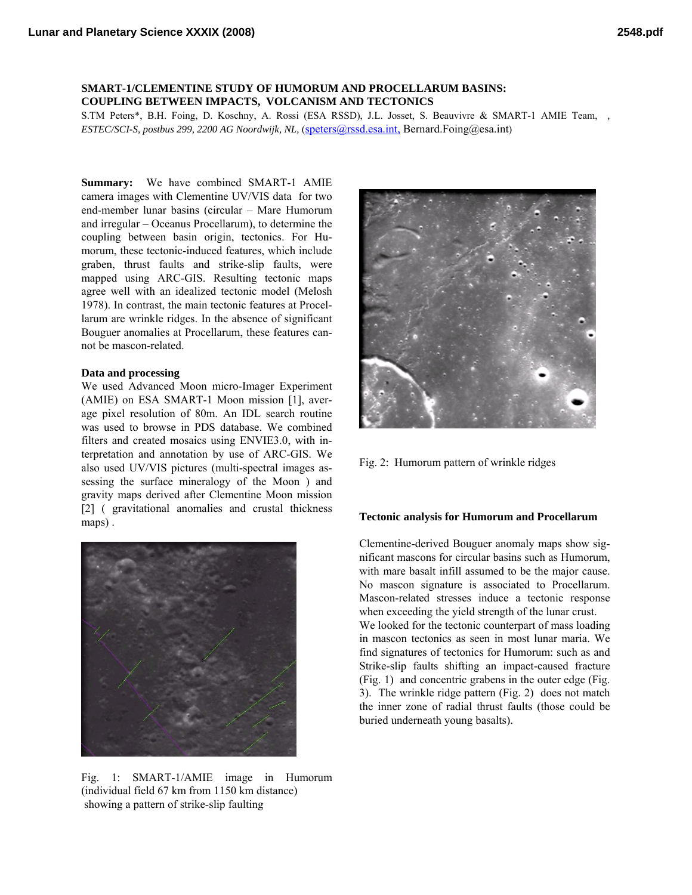## **SMART-1/CLEMENTINE STUDY OF HUMORUM AND PROCELLARUM BASINS: COUPLING BETWEEN IMPACTS, VOLCANISM AND TECTONICS**

S.TM Peters\*, B.H. Foing, D. Koschny, A. Rossi (ESA RSSD), J.L. Josset, S. Beauvivre & SMART-1 AMIE Team, *, ESTEC/SCI-S, postbus 299, 2200 AG Noordwijk, NL,* [\(speters@rssd.esa.int,](mailto:speters@rssd.esa.int,) Bernard.Foing@esa.int)

**Summary:** We have combined SMART-1 AMIE camera images with Clementine UV/VIS data for two end-member lunar basins (circular – Mare Humorum and irregular – Oceanus Procellarum), to determine the coupling between basin origin, tectonics. For Humorum, these tectonic-induced features, which include graben, thrust faults and strike-slip faults, were mapped using ARC-GIS. Resulting tectonic maps agree well with an idealized tectonic model (Melosh 1978). In contrast, the main tectonic features at Procellarum are wrinkle ridges. In the absence of significant Bouguer anomalies at Procellarum, these features cannot be mascon-related.

### **Data and processing**

We used Advanced Moon micro-Imager Experiment (AMIE) on ESA SMART-1 Moon mission [1], average pixel resolution of 80m. An IDL search routine was used to browse in PDS database. We combined filters and created mosaics using ENVIE3.0, with interpretation and annotation by use of ARC-GIS. We also used UV/VIS pictures (multi-spectral images assessing the surface mineralogy of the Moon ) and gravity maps derived after Clementine Moon mission [2] ( gravitational anomalies and crustal thickness maps) .



Fig. 1: SMART-1/AMIE image in Humorum (individual field 67 km from 1150 km distance) showing a pattern of strike-slip faulting



Fig. 2: Humorum pattern of wrinkle ridges

### **Tectonic analysis for Humorum and Procellarum**

Clementine-derived Bouguer anomaly maps show significant mascons for circular basins such as Humorum, with mare basalt infill assumed to be the major cause. No mascon signature is associated to Procellarum. Mascon-related stresses induce a tectonic response when exceeding the yield strength of the lunar crust. We looked for the tectonic counterpart of mass loading in mascon tectonics as seen in most lunar maria. We find signatures of tectonics for Humorum: such as and Strike-slip faults shifting an impact-caused fracture (Fig. 1) and concentric grabens in the outer edge (Fig. 3). The wrinkle ridge pattern (Fig. 2) does not match the inner zone of radial thrust faults (those could be buried underneath young basalts).